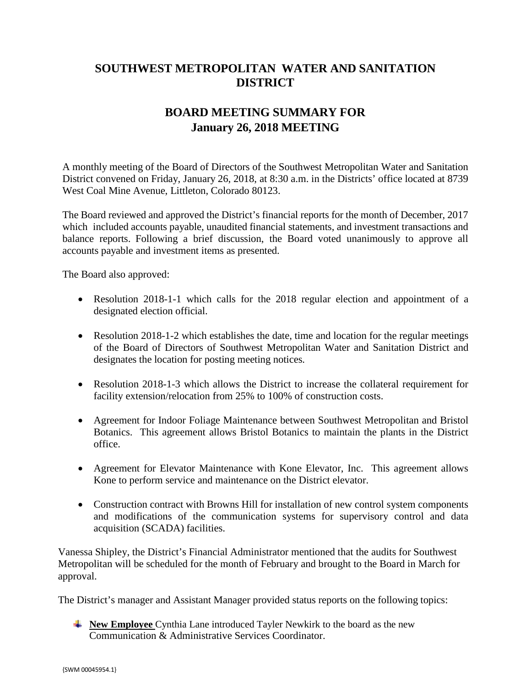## **SOUTHWEST METROPOLITAN WATER AND SANITATION DISTRICT**

## **BOARD MEETING SUMMARY FOR January 26, 2018 MEETING**

A monthly meeting of the Board of Directors of the Southwest Metropolitan Water and Sanitation District convened on Friday, January 26, 2018, at 8:30 a.m. in the Districts' office located at 8739 West Coal Mine Avenue, Littleton, Colorado 80123.

The Board reviewed and approved the District's financial reports for the month of December, 2017 which included accounts payable, unaudited financial statements, and investment transactions and balance reports. Following a brief discussion, the Board voted unanimously to approve all accounts payable and investment items as presented.

The Board also approved:

- Resolution 2018-1-1 which calls for the 2018 regular election and appointment of a designated election official.
- Resolution 2018-1-2 which establishes the date, time and location for the regular meetings of the Board of Directors of Southwest Metropolitan Water and Sanitation District and designates the location for posting meeting notices.
- Resolution 2018-1-3 which allows the District to increase the collateral requirement for facility extension/relocation from 25% to 100% of construction costs.
- Agreement for Indoor Foliage Maintenance between Southwest Metropolitan and Bristol Botanics. This agreement allows Bristol Botanics to maintain the plants in the District office.
- Agreement for Elevator Maintenance with Kone Elevator, Inc. This agreement allows Kone to perform service and maintenance on the District elevator.
- Construction contract with Browns Hill for installation of new control system components and modifications of the communication systems for supervisory control and data acquisition (SCADA) facilities.

Vanessa Shipley, the District's Financial Administrator mentioned that the audits for Southwest Metropolitan will be scheduled for the month of February and brought to the Board in March for approval.

The District's manager and Assistant Manager provided status reports on the following topics:

**New Employee** Cynthia Lane introduced Tayler Newkirk to the board as the new Communication & Administrative Services Coordinator.